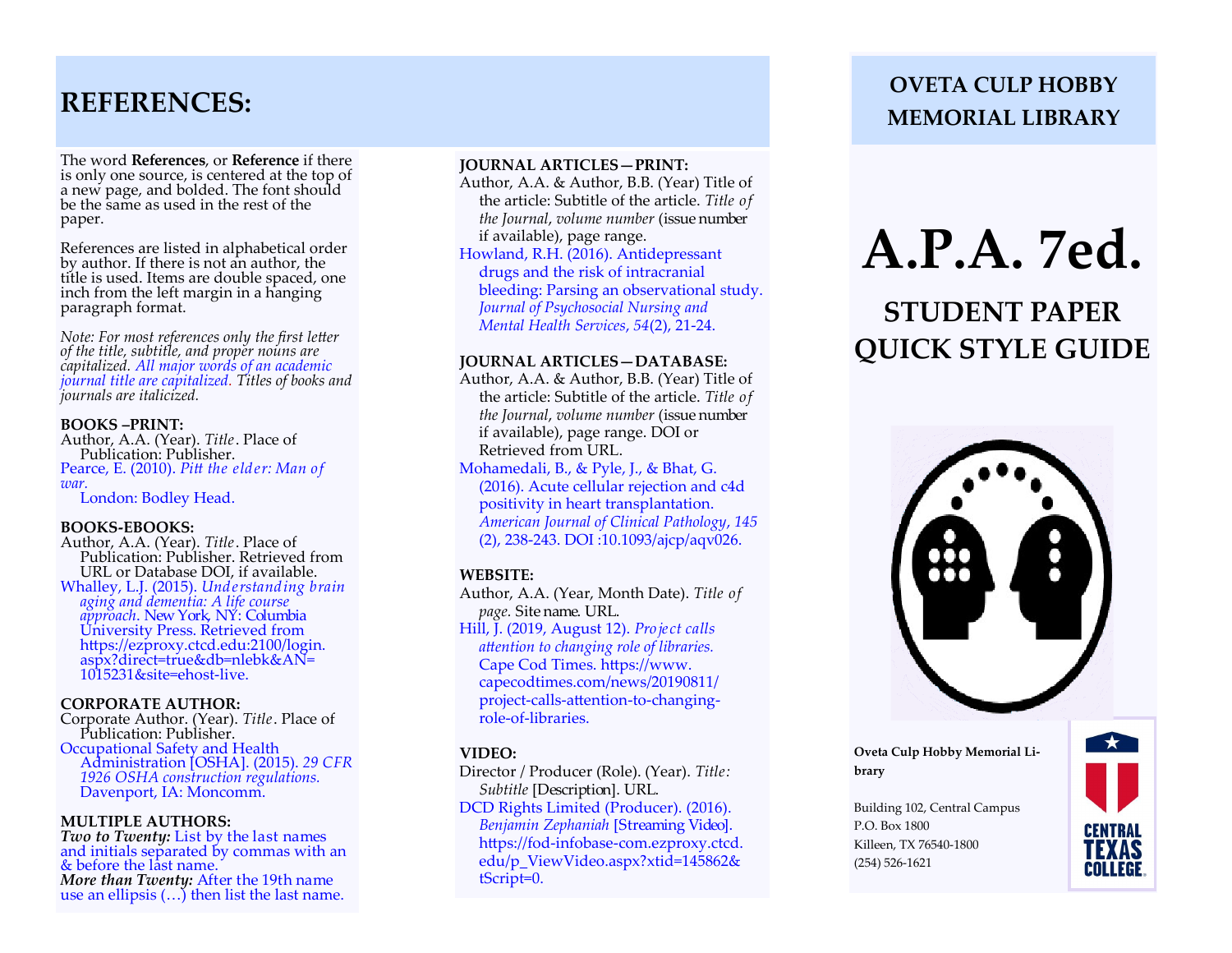### **REFERENCES:**

The word **References**, or **Reference** if there is only one source, is centered at the top of a new page, and bolded. The font should be the same as used in the rest of the paper.

References are listed in alphabetical order by author. If there is not an author, the title is used. Items are double spaced, one inch from the left margin in a hanging paragraph format.

*Note: For most references only the first letter of the title, subtitle, and proper nouns are capitalized. All major words of an academic journal title are capitalized. Titles of books and journals are italicized.* 

#### **BOOKS –PRINT:**

Author, A.A. (Year). *Title*. Place of Publication: Publisher. Pearce, E. (2010). *Pitt the elder: Man of war.*  London: Bodley Head.

#### **BOOKS-EBOOKS:**

Author, A.A. (Year). *Title*. Place of Publication: Publisher. Retrieved from URL or Database DOI, if available. Whalley, L.J. (2015). *Understanding brain aging and dementia: A life course approach*. New York, NY: Columbia University Press. Retrieved from https://ezproxy.ctcd.edu:2100/login. aspx?direct=true&db=nlebk&AN= 1015231&site=ehost-live.

#### **CORPORATE AUTHOR:**

Corporate Author. (Year). *Title*. Place of Publication: Publisher. Occupational Safety and Health Administration [OSHA]. (2015). *29 CFR 1926 OSHA construction regulations.*  Davenport, IA: Moncomm.

#### **MULTIPLE AUTHORS:**

*Two to Twenty:* List by the last names and initials separated by commas with an & before the last name. *More than Twenty:* After the 19th name use an ellipsis (…) then list the last name.

#### **JOURNAL ARTICLES—PRINT:**

Author, A.A. & Author, B.B. (Year) Title of the article: Subtitle of the article. *Title of the Journal*, *volume number* (issue number if available), page range. Howland, R.H. (2016). Antidepressant

 drugs and the risk of intracranial bleeding: Parsing an observational study. *Journal of Psychosocial Nursing and Mental Health Services*, *54*(2), 21-24.

#### **JOURNAL ARTICLES—DATABASE:**

Author, A.A. & Author, B.B. (Year) Title of the article: Subtitle of the article. *Title of the Journal*, *volume number* (issue number if available), page range. DOI or Retrieved from URL.

Mohamedali, B., & Pyle, J., & Bhat, G. (2016). Acute cellular rejection and c4d positivity in heart transplantation. *American Journal of Clinical Pathology*, *145* (2), 238-243. DOI :10.1093/ajcp/aqv026.

#### **WEBSITE:**

Author, A.A. (Year, Month Date). *Title of page.* Site name. URL.

Hill, J. (2019, August 12). *Project calls attention to changing role of libraries.* Cape Cod Times. https://www. capecodtimes.com/news/20190811/ project-calls-attention-to-changing role-of-libraries.

#### **VIDEO:**

Director / Producer (Role). (Year). *Title: Subtitle* [Description]. URL.

DCD Rights Limited (Producer). (2016). *Benjamin Zephaniah* [Streaming Video]. https://fod-infobase-com.ezproxy.ctcd. edu/p\_ViewVideo.aspx?xtid=145862& tScript=0.

### **OVETA CULP HOBBY MEMORIAL LIBRARY**

# **A.P.A. 7ed.**

# **STUDENT PAPER QUICK STYLE GUIDE**